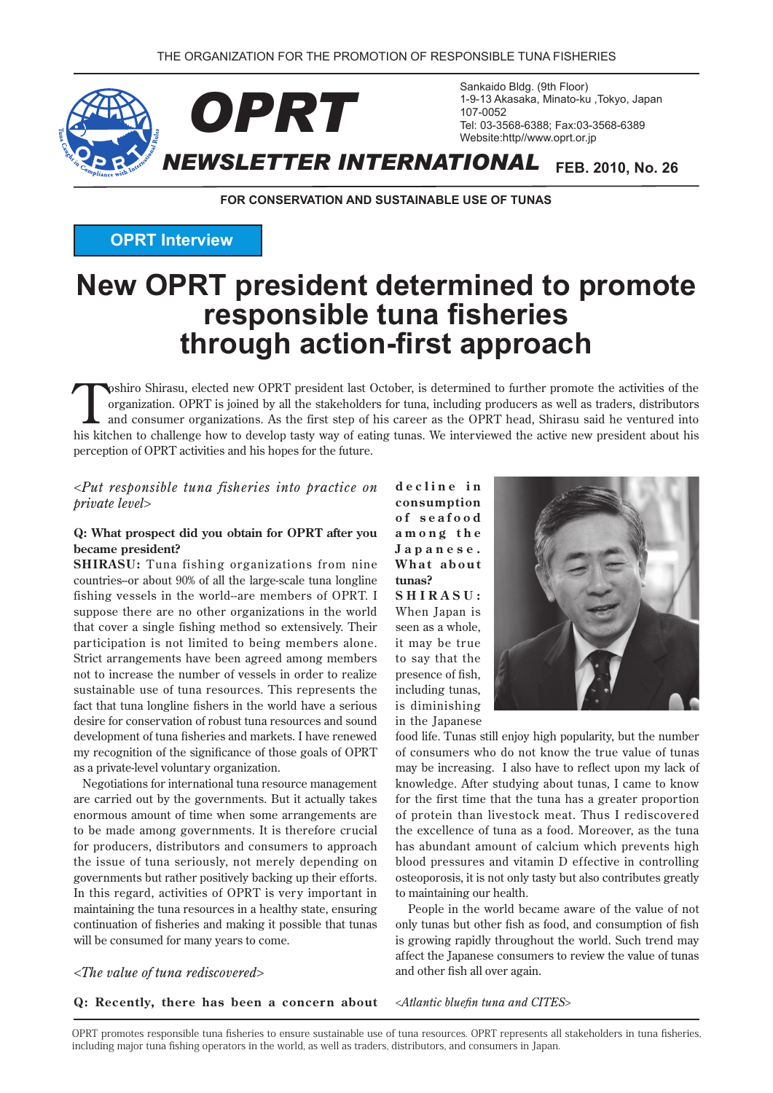

Sankaido Bldg. (9th Floor) 1-9-13 Akasaka, Minato-ku, Tokyo, Japan 107-0052 Tel: 03-3568-6388; Fax: 03-3568-6389 Website:http//www.oprt.or.jp

# **NEWSLETTER INTERNATIONAL** FEB. 2010, No. 26

**FOR CONSERVATION AND SUSTAINABLE USE OF TUNAS** 

**OPRT** Interview

# **New OPRT president determined to promote responsible tuna fisheries through action-first approach**

The organization. OPRT is joined by all the stakeholders for tuna, including producers as well as traders, distributors and consumer organizations. As the first step of his career as the OPRT head, Shirasu said he ventured organization. OPRT is joined by all the stakeholders for tuna, including producers as well as traders, distributors his kitchen to challenge how to develop tasty way of eating tunas. We interviewed the active new president about his perception of OPRT activities and his hopes for the future.

### *on practice into fisheries tuna responsible Put< <level private*

### **Q:** What prospect did you obtain for OPRT after you **became** president?

**SHIRASU:** Tuna fishing organizations from nine countries-or about 90% of all the large-scale tuna longline fishing vessels in the world-are-members of OPRT. I suppose there are no other organizations in the world that cover a single fishing method so extensively. Their participation is not limited to being members alone. Strict arrangements have been agreed among members not to increase the number of vessels in order to realize sustainable use of tuna resources. This represents the fact that tuna longline fishers in the world have a serious desire for conservation of robust tuna resources and sound development of tuna fisheries and markets. I have renewed my recognition of the significance of those goals of OPRT as a private-level voluntary organization.

Negotiations for international tuna resource management are carried out by the governments. But it actually takes enormous amount of time when some arrangements are to be made among governments. It is therefore crucial for producers, distributors and consumers to approach the issue of tuna seriously, not merely depending on governments but rather positively backing up their efforts. In this regard, activities of OPRT is very important in maintaining the tuna resources in a healthy state, ensuring continuation of fisheries and making it possible that tunas will be consumed for many years to come.

 $\langle$ The value of tuna rediscovered>

decline in  **consumption** of seafood among the  $Japanese.$ **What about ?tunas**

 $SHIRASU:$ When Japan is seen as a whole. it may be true to say that the presence of fish. including tunas. is diminishing in the Japanese



food life. Tunas still enjoy high popularity, but the number of consumers who do not know the true value of tunas may be increasing. I also have to reflect upon my lack of knowledge. After studying about tunas, I came to know for the first time that the tuna has a greater proportion of protein than livestock meat. Thus I rediscovered the excellence of tuna as a food. Moreover, as the tuna has abundant amount of calcium which prevents high blood pressures and vitamin D effective in controlling osteoporosis, it is not only tasty but also contributes greatly to maintaining our health.

People in the world became aware of the value of not only tunas but other fish as food, and consumption of fish is growing rapidly throughout the world. Such trend may affect the Japanese consumers to review the value of tunas and other fish all over again.

### **Q: Recently, there has been a concern about**

<*Atlantic bluefin tuna and CITES* 

OPRT promotes responsible tuna fisheries to ensure sustainable use of tuna resources. OPRT represents all stakeholders in tuna fisheries. including major tuna fishing operators in the world, as well as traders, distributors, and consumers in Japan.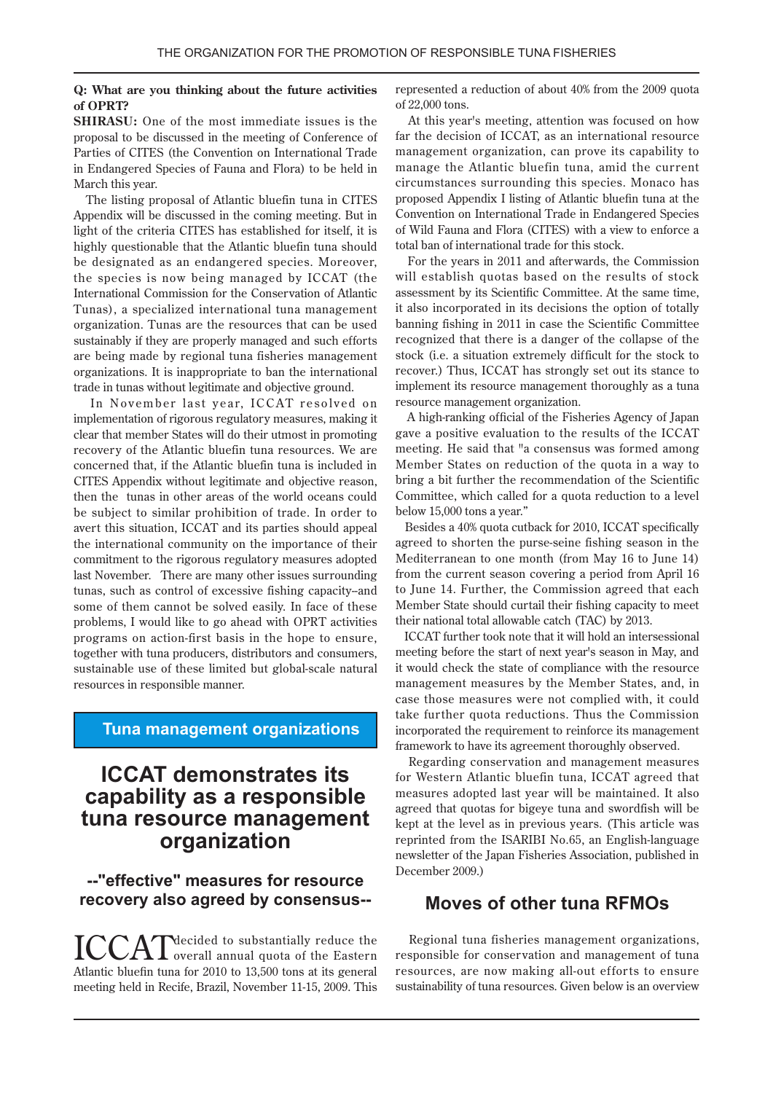### **Q:** What are you thinking about the future activities of **OPRT?**

## **SHIRASU:** One of the most immediate issues is the proposal to be discussed in the meeting of Conference of Parties of CITES (the Convention on International Trade in Endangered Species of Fauna and Flora) to be held in March this year.

The listing proposal of Atlantic bluefin tuna in CITES Appendix will be discussed in the coming meeting. But in light of the criteria CITES has established for itself, it is highly questionable that the Atlantic bluefin tuna should be designated as an endangered species. Moreover, the species is now being managed by ICCAT (the International Commission for the Conservation of Atlantic Tunas), a specialized international tuna management organization. Tunas are the resources that can be used sustainably if they are properly managed and such efforts are being made by regional tuna fisheries management organizations. It is inappropriate to ban the international trade in tunas without legitimate and objective ground.

In November last year, ICCAT resolved on implementation of rigorous regulatory measures, making it clear that member States will do their utmost in promoting recovery of the Atlantic bluefin tuna resources. We are concerned that, if the Atlantic bluefin tuna is included in CITES Appendix without legitimate and objective reason, then the tunas in other areas of the world oceans could be subject to similar prohibition of trade. In order to avert this situation, ICCAT and its parties should appeal the international community on the importance of their commitment to the rigorous regulatory measures adopted last November. There are many other issues surrounding tunas, such as control of excessive fishing capacity-and some of them cannot be solved easily. In face of these problems, I would like to go ahead with OPRT activities programs on action-first basis in the hope to ensure, together with tuna producers, distributors and consumers, sustainable use of these limited but global-scale natural resources in responsible manner.

# **Tuna management organizations**

# **ICCAT** demonstrates its **capability as a responsible tuna resource management organization**

# **--"effective" measures for resource** recovery also agreed by consensus-- **Moves of other funa RFMOs**

 $\text{ICCAT}^\text{decided to substantially reduce the}\atop \text{overall annual quota of the Eastern}$ Atlantic bluefin tuna for 2010 to 13,500 tons at its general meeting held in Recife, Brazil, November 11-15, 2009. This

represented a reduction of about 40% from the 2009 quota of 22,000 tons.

At this year's meeting, attention was focused on how far the decision of ICCAT, as an international resource management organization, can prove its capability to manage the Atlantic bluefin tuna, amid the current circumstances surrounding this species. Monaco has proposed Appendix I listing of Atlantic bluefin tuna at the Convention on International Trade in Endangered Species of Wild Fauna and Flora (CITES) with a view to enforce a total ban of international trade for this stock.

For the years in 2011 and afterwards, the Commission will establish quotas based on the results of stock assessment by its Scientific Committee. At the same time, it also incorporated in its decisions the option of totally banning fishing in 2011 in case the Scientific Committee recognized that there is a danger of the collapse of the stock (i.e. a situation extremely difficult for the stock to recover.) Thus, ICCAT has strongly set out its stance to implement its resource management thoroughly as a tuna resource management organization.

A high-ranking official of the Fisheries Agency of Japan gave a positive evaluation to the results of the ICCAT meeting. He said that "a consensus was formed among Member States on reduction of the quota in a way to bring a bit further the recommendation of the Scientific Committee, which called for a quota reduction to a level below 15,000 tons a year."

Besides a 40% quota cutback for 2010, ICCAT specifically agreed to shorten the purse-seine fishing season in the Mediterranean to one month (from May 16 to June 14) from the current season covering a period from April 16 to June 14. Further, the Commission agreed that each Member State should curtail their fishing capacity to meet their national total allowable catch (TAC) by 2013.

ICCAT further took note that it will hold an intersessional meeting before the start of next vear's season in May, and it would check the state of compliance with the resource management measures by the Member States, and, in case those measures were not complied with, it could take further quota reductions. Thus the Commission incorporated the requirement to reinforce its management framework to have its agreement thoroughly observed.

Regarding conservation and management measures for Western Atlantic bluefin tuna, ICCAT agreed that measures adopted last year will be maintained. It also agreed that quotas for bigeye tuna and swordfish will be kept at the level as in previous years. (This article was reprinted from the ISARIBI No.65, an English-language newsletter of the Japan Fisheries Association, published in December 2009.)

Regional tuna fisheries management organizations, responsible for conservation and management of tuna resources, are now making all-out efforts to ensure sustainability of tuna resources. Given below is an overview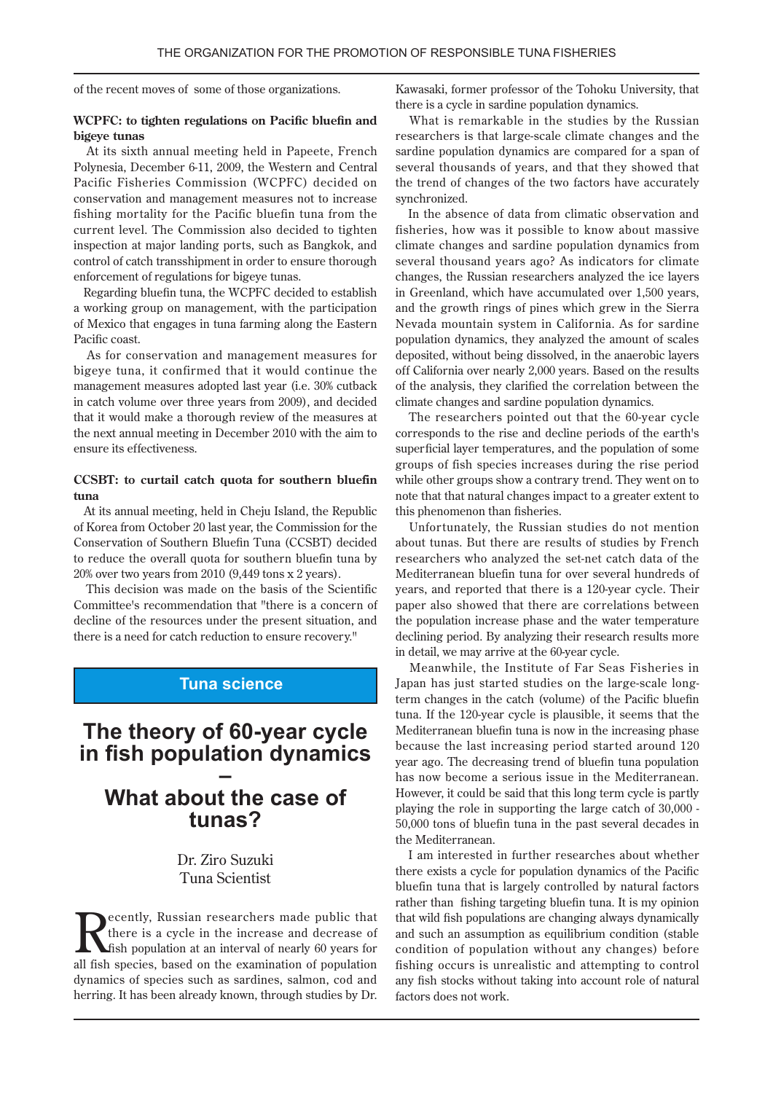of the recent moves of some of those organizations.

### **WCPFC**: to tighten regulations on Pacific bluefin and **tunas bigeye**

At its sixth annual meeting held in Papeete, French Polynesia, December 6-11, 2009, the Western and Central Pacific Fisheries Commission (WCPFC) decided on conservation and management measures not to increase fishing mortality for the Pacific bluefin tuna from the current level. The Commission also decided to tighten inspection at major landing ports, such as Bangkok, and control of catch transshipment in order to ensure thorough enforcement of regulations for bigeye tunas.

Regarding bluefin tuna, the WCPFC decided to establish a working group on management, with the participation of Mexico that engages in tuna farming along the Eastern Pacific coast.

As for conservation and management measures for bigeye tuna, it confirmed that it would continue the management measures adopted last year (i.e. 30% cutback in catch volume over three years from 2009), and decided that it would make a thorough review of the measures at the next annual meeting in December 2010 with the aim to ensure its effectiveness.

### **CCSBT:** to curtail catch quota for southern bluefin **tuna**

At its annual meeting, held in Cheju Island, the Republic of Korea from October 20 last year, the Commission for the Conservation of Southern Bluefin Tuna (CCSBT) decided to reduce the overall quota for southern bluefin tuna by  $20\%$  over two years from  $2010$  (9,449 tons x 2 years).

This decision was made on the basis of the Scientific Committee's recommendation that "there is a concern of decline of the resources under the present situation, and there is a need for catch reduction to ensure recovery."

# **science Tuna**

# **The theory of 60-vear cycle in fish population dynamics**

# **–** What about the case of **?tunas**

Dr. Ziro Suzuki **Tuna Scientist** 

ecently, Russian researchers made public that there is a cycle in the increase and decrease of  $fish$  population at an interval of nearly 60 years for all fish species, based on the examination of population dynamics of species such as sardines, salmon, cod and herring. It has been already known, through studies by Dr. Kawasaki, former professor of the Tohoku University, that there is a cycle in sardine population dynamics.

What is remarkable in the studies by the Russian researchers is that large-scale climate changes and the sardine population dynamics are compared for a span of several thousands of vears, and that they showed that the trend of changes of the two factors have accurately synchronized.

In the absence of data from climatic observation and fisheries, how was it possible to know about massive climate changes and sardine population dynamics from several thousand years ago? As indicators for climate changes, the Russian researchers analyzed the ice layers in Greenland, which have accumulated over 1,500 years, and the growth rings of pines which grew in the Sierra Nevada mountain system in California. As for sardine population dynamics, they analyzed the amount of scales deposited, without being dissolved, in the anaerobic layers off California over nearly 2,000 years. Based on the results of the analysis, they clarified the correlation between the climate changes and sardine population dynamics.

The researchers pointed out that the 60-year cycle corresponds to the rise and decline periods of the earth's superficial layer temperatures, and the population of some groups of fish species increases during the rise period while other groups show a contrary trend. They went on to note that that natural changes impact to a greater extent to this phenomenon than fisheries.

Unfortunately, the Russian studies do not mention about tunas. But there are results of studies by French researchers who analyzed the set-net catch data of the Mediterranean bluefin tuna for over several hundreds of years, and reported that there is a 120-year cycle. Their paper also showed that there are correlations between the population increase phase and the water temperature declining period. By analyzing their research results more in detail, we may arrive at the 60-vear cycle.

Meanwhile, the Institute of Far Seas Fisheries in Japan has just started studies on the large-scale long-<br>term-changes in the catch (volume) of the Pacific bluefin tuna. If the 120-year cycle is plausible, it seems that the Mediterranean bluefin tuna is now in the increasing phase because the last increasing period started around 120 year ago. The decreasing trend of bluefin tuna population has now become a serious issue in the Mediterranean. However, it could be said that this long term cycle is partly playing the role in supporting the large catch of  $30,000$ .  $50,000$  tons of bluefin tuna in the past several decades in the Mediterranean

I am interested in further researches about whether there exists a cycle for population dynamics of the Pacific bluefin tuna that is largely controlled by natural factors rather than fishing targeting bluefin tuna. It is my opinion that wild fish populations are changing always dynamically and such an assumption as equilibrium condition (stable condition of population without any changes) before fishing occurs is unrealistic and attempting to control any fish stocks without taking into account role of natural factors does not work.